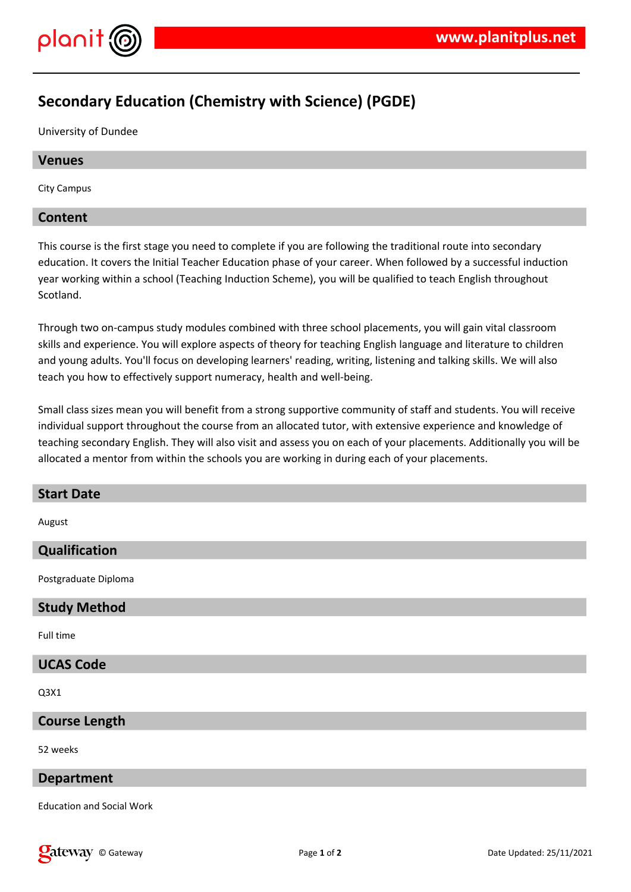

# **Secondary Education (Chemistry with Science) (PGDE)**

University of Dundee

# **Venues**

City Campus

# **Content**

This course is the first stage you need to complete if you are following the traditional route into secondary education. It covers the Initial Teacher Education phase of your career. When followed by a successful induction year working within a school (Teaching Induction Scheme), you will be qualified to teach English throughout Scotland.

Through two on-campus study modules combined with three school placements, you will gain vital classroom skills and experience. You will explore aspects of theory for teaching English language and literature to children and young adults. You'll focus on developing learners' reading, writing, listening and talking skills. We will also teach you how to effectively support numeracy, health and well-being.

Small class sizes mean you will benefit from a strong supportive community of staff and students. You will receive individual support throughout the course from an allocated tutor, with extensive experience and knowledge of teaching secondary English. They will also visit and assess you on each of your placements. Additionally you will be allocated a mentor from within the schools you are working in during each of your placements.

# **Start Date**

August

# **Qualification**

Postgraduate Diploma

# **Study Method**

Full time

# **UCAS Code**

Q3X1

# **Course Length**

52 weeks

#### **Department**

Education and Social Work